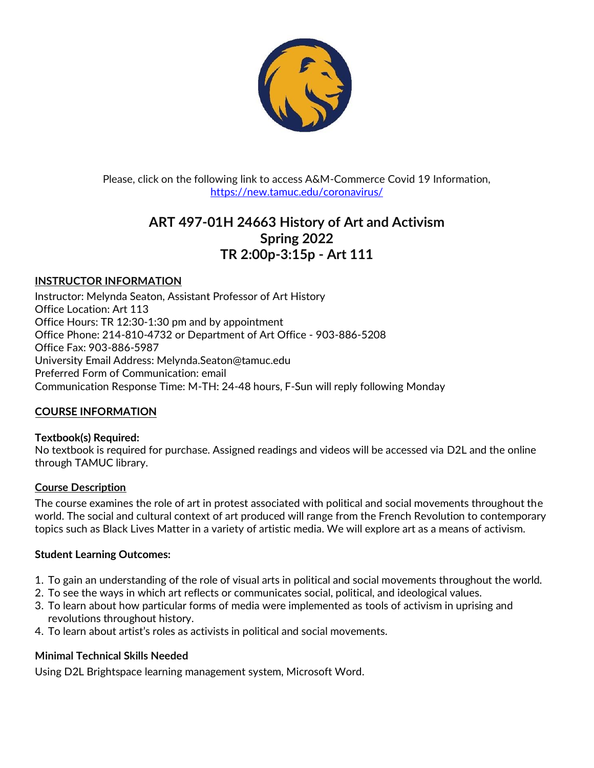

Please, click on the following link to access A&M-Commerce Covid 19 Information, <https://new.tamuc.edu/coronavirus/>

# **ART 497-01H 24663 History of Art and Activism Spring 2022 TR 2:00p-3:15p - Art 111**

## **INSTRUCTOR INFORMATION**

Instructor: Melynda Seaton, Assistant Professor of Art History Office Location: Art 113 Office Hours: TR 12:30-1:30 pm and by appointment Office Phone: 214-810-4732 or Department of Art Office - 903-886-5208 Office Fax: 903-886-5987 University Email Address: Melynda.Seaton@tamuc.edu Preferred Form of Communication: email Communication Response Time: M-TH: 24-48 hours, F-Sun will reply following Monday

## **COURSE INFORMATION**

#### **Textbook(s) Required:**

No textbook is required for purchase. Assigned readings and videos will be accessed via D2L and the online through TAMUC library.

#### **Course Description**

The course examines the role of art in protest associated with political and social movements throughout the world. The social and cultural context of art produced will range from the French Revolution to contemporary topics such as Black Lives Matter in a variety of artistic media. We will explore art as a means of activism.

#### **Student Learning Outcomes:**

- 1. To gain an understanding of the role of visual arts in political and social movements throughout the world.
- 2. To see the ways in which art reflects or communicates social, political, and ideological values.
- 3. To learn about how particular forms of media were implemented as tools of activism in uprising and revolutions throughout history.
- 4. To learn about artist's roles as activists in political and social movements.

## **Minimal Technical Skills Needed**

Using D2L Brightspace learning management system, Microsoft Word.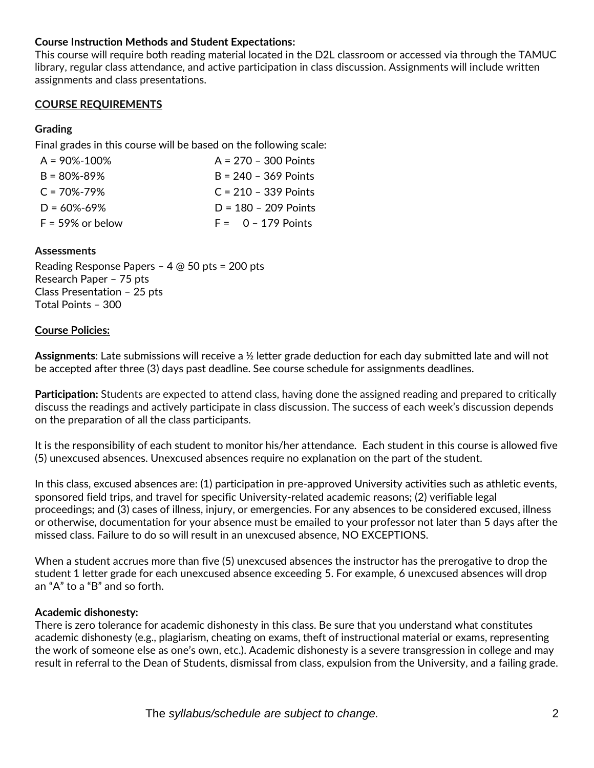## **Course Instruction Methods and Student Expectations:**

This course will require both reading material located in the D2L classroom or accessed via through the TAMUC library, regular class attendance, and active participation in class discussion. Assignments will include written assignments and class presentations.

#### **COURSE REQUIREMENTS**

#### **Grading**

Final grades in this course will be based on the following scale:

| $A = 90\% - 100\%$  | $A = 270 - 300$ Points |
|---------------------|------------------------|
| $B = 80\% - 89\%$   | $B = 240 - 369$ Points |
| $C = 70\% - 79\%$   | $C = 210 - 339$ Points |
| $D = 60\% - 69\%$   | $D = 180 - 209$ Points |
| $F = 59\%$ or below | $F = 0 - 179$ Points   |

#### **Assessments**

Reading Response Papers – 4 @ 50 pts = 200 pts Research Paper – 75 pts Class Presentation – 25 pts Total Points – 300

#### **Course Policies:**

**Assignments**: Late submissions will receive a ½ letter grade deduction for each day submitted late and will not be accepted after three (3) days past deadline. See course schedule for assignments deadlines.

**Participation:** Students are expected to attend class, having done the assigned reading and prepared to critically discuss the readings and actively participate in class discussion. The success of each week's discussion depends on the preparation of all the class participants.

It is the responsibility of each student to monitor his/her attendance. Each student in this course is allowed five (5) unexcused absences. Unexcused absences require no explanation on the part of the student.

In this class, excused absences are: (1) participation in pre-approved University activities such as athletic events, sponsored field trips, and travel for specific University-related academic reasons; (2) verifiable legal proceedings; and (3) cases of illness, injury, or emergencies. For any absences to be considered excused, illness or otherwise, documentation for your absence must be emailed to your professor not later than 5 days after the missed class. Failure to do so will result in an unexcused absence, NO EXCEPTIONS.

When a student accrues more than five (5) unexcused absences the instructor has the prerogative to drop the student 1 letter grade for each unexcused absence exceeding 5. For example, 6 unexcused absences will drop an "A" to a "B" and so forth.

#### **Academic dishonesty:**

There is zero tolerance for academic dishonesty in this class. Be sure that you understand what constitutes academic dishonesty (e.g., plagiarism, cheating on exams, theft of instructional material or exams, representing the work of someone else as one's own, etc.). Academic dishonesty is a severe transgression in college and may result in referral to the Dean of Students, dismissal from class, expulsion from the University, and a failing grade.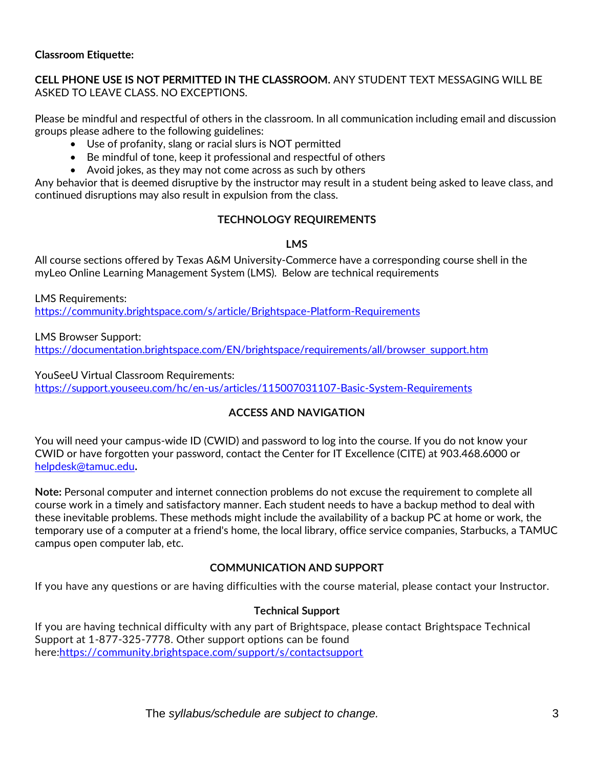#### **Classroom Etiquette:**

## **CELL PHONE USE IS NOT PERMITTED IN THE CLASSROOM.** ANY STUDENT TEXT MESSAGING WILL BE ASKED TO LEAVE CLASS. NO EXCEPTIONS.

Please be mindful and respectful of others in the classroom. In all communication including email and discussion groups please adhere to the following guidelines:

- Use of profanity, slang or racial slurs is NOT permitted
- Be mindful of tone, keep it professional and respectful of others
- Avoid jokes, as they may not come across as such by others

Any behavior that is deemed disruptive by the instructor may result in a student being asked to leave class, and continued disruptions may also result in expulsion from the class.

## **TECHNOLOGY REQUIREMENTS**

**LMS**

All course sections offered by Texas A&M University-Commerce have a corresponding course shell in the myLeo Online Learning Management System (LMS). Below are technical requirements

LMS Requirements: <https://community.brightspace.com/s/article/Brightspace-Platform-Requirements>

LMS Browser Support: [https://documentation.brightspace.com/EN/brightspace/requirements/all/browser\\_support.htm](https://documentation.brightspace.com/EN/brightspace/requirements/all/browser_support.htm)

#### YouSeeU Virtual Classroom Requirements:

<https://support.youseeu.com/hc/en-us/articles/115007031107-Basic-System-Requirements>

## **ACCESS AND NAVIGATION**

You will need your campus-wide ID (CWID) and password to log into the course. If you do not know your CWID or have forgotten your password, contact the Center for IT Excellence (CITE) at 903.468.6000 or [helpdesk@tamuc.edu](mailto:helpdesk@tamuc.edu)**.**

**Note:** Personal computer and internet connection problems do not excuse the requirement to complete all course work in a timely and satisfactory manner. Each student needs to have a backup method to deal with these inevitable problems. These methods might include the availability of a backup PC at home or work, the temporary use of a computer at a friend's home, the local library, office service companies, Starbucks, a TAMUC campus open computer lab, etc.

## **COMMUNICATION AND SUPPORT**

If you have any questions or are having difficulties with the course material, please contact your Instructor.

## **Technical Support**

If you are having technical difficulty with any part of Brightspace, please contact Brightspace Technical Support at 1-877-325-7778. Other support options can be found here[:https://community.brightspace.com/support/s/contactsupport](https://community.brightspace.com/support/s/contactsupport)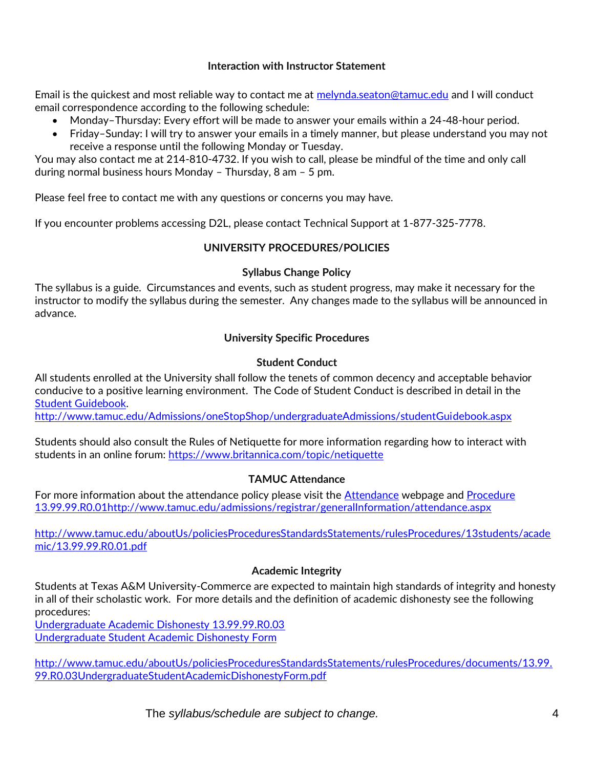## **Interaction with Instructor Statement**

Email is the quickest and most reliable way to contact me at [melynda.seaton@tamuc.edu](mailto:melynda.seaton@tamuc.edu) and I will conduct email correspondence according to the following schedule:

- Monday–Thursday: Every effort will be made to answer your emails within a 24-48-hour period.
- Friday–Sunday: I will try to answer your emails in a timely manner, but please understand you may not receive a response until the following Monday or Tuesday.

You may also contact me at 214-810-4732. If you wish to call, please be mindful of the time and only call during normal business hours Monday – Thursday, 8 am – 5 pm.

Please feel free to contact me with any questions or concerns you may have.

If you encounter problems accessing D2L, please contact Technical Support at 1-877-325-7778.

## **UNIVERSITY PROCEDURES/POLICIES**

## **Syllabus Change Policy**

The syllabus is a guide. Circumstances and events, such as student progress, may make it necessary for the instructor to modify the syllabus during the semester. Any changes made to the syllabus will be announced in advance.

## **University Specific Procedures**

## **Student Conduct**

All students enrolled at the University shall follow the tenets of common decency and acceptable behavior conducive to a positive learning environment. The Code of Student Conduct is described in detail in the [Student Guidebook.](http://www.tamuc.edu/Admissions/oneStopShop/undergraduateAdmissions/studentGuidebook.aspx)

<http://www.tamuc.edu/Admissions/oneStopShop/undergraduateAdmissions/studentGuidebook.aspx>

Students should also consult the Rules of Netiquette for more information regarding how to interact with students in an online forum:<https://www.britannica.com/topic/netiquette>

## **TAMUC Attendance**

For more information about the attendance policy please visit the **Attendance** webpage and **Procedure** [13.99.99.R0.01](http://www.tamuc.edu/aboutUs/policiesProceduresStandardsStatements/rulesProcedures/13students/academic/13.99.99.R0.01.pdf)<http://www.tamuc.edu/admissions/registrar/generalInformation/attendance.aspx>

[http://www.tamuc.edu/aboutUs/policiesProceduresStandardsStatements/rulesProcedures/13students/acade](http://www.tamuc.edu/aboutUs/policiesProceduresStandardsStatements/rulesProcedures/13students/academic/13.99.99.R0.01.pdf) [mic/13.99.99.R0.01.pdf](http://www.tamuc.edu/aboutUs/policiesProceduresStandardsStatements/rulesProcedures/13students/academic/13.99.99.R0.01.pdf)

## **Academic Integrity**

Students at Texas A&M University-Commerce are expected to maintain high standards of integrity and honesty in all of their scholastic work. For more details and the definition of academic dishonesty see the following procedures:

[Undergraduate Academic Dishonesty 13.99.99.R0.03](http://www.tamuc.edu/aboutUs/policiesProceduresStandardsStatements/rulesProcedures/13students/undergraduates/13.99.99.R0.03UndergraduateAcademicDishonesty.pdf) [Undergraduate Student Academic Dishonesty Form](http://www.tamuc.edu/aboutUs/policiesProceduresStandardsStatements/rulesProcedures/documents/13.99.99.R0.03UndergraduateStudentAcademicDishonestyForm.pdf)

[http://www.tamuc.edu/aboutUs/policiesProceduresStandardsStatements/rulesProcedures/documents/13.99.](http://www.tamuc.edu/aboutUs/policiesProceduresStandardsStatements/rulesProcedures/documents/13.99.99.R0.03UndergraduateStudentAcademicDishonestyForm.pdf) [99.R0.03UndergraduateStudentAcademicDishonestyForm.pdf](http://www.tamuc.edu/aboutUs/policiesProceduresStandardsStatements/rulesProcedures/documents/13.99.99.R0.03UndergraduateStudentAcademicDishonestyForm.pdf)

The *syllabus/schedule are subject to change.* 4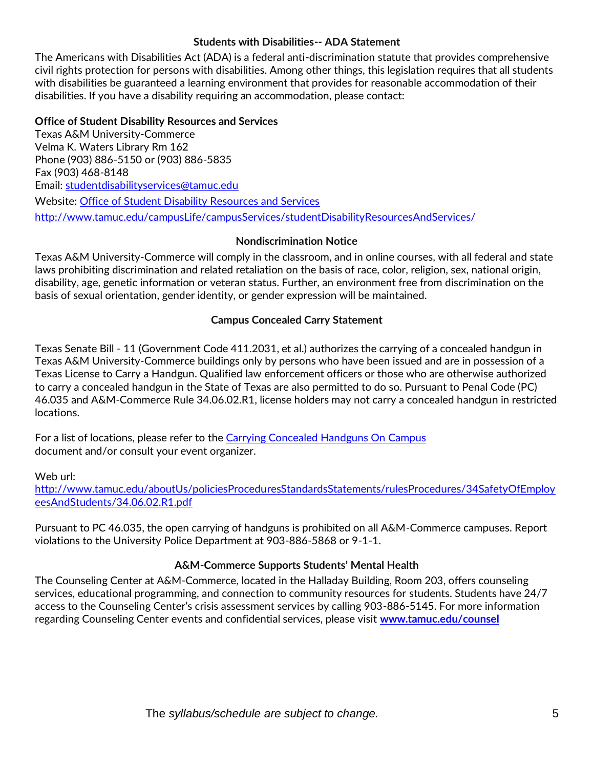#### **Students with Disabilities-- ADA Statement**

The Americans with Disabilities Act (ADA) is a federal anti-discrimination statute that provides comprehensive civil rights protection for persons with disabilities. Among other things, this legislation requires that all students with disabilities be guaranteed a learning environment that provides for reasonable accommodation of their disabilities. If you have a disability requiring an accommodation, please contact:

#### **Office of Student Disability Resources and Services**

Texas A&M University-Commerce Velma K. Waters Library Rm 162 Phone (903) 886-5150 or (903) 886-5835 Fax (903) 468-8148 Email: [studentdisabilityservices@tamuc.edu](mailto:studentdisabilityservices@tamuc.edu) Website: [Office of Student Disability Resources and Services](http://www.tamuc.edu/campusLife/campusServices/studentDisabilityResourcesAndServices/) <http://www.tamuc.edu/campusLife/campusServices/studentDisabilityResourcesAndServices/>

#### **Nondiscrimination Notice**

Texas A&M University-Commerce will comply in the classroom, and in online courses, with all federal and state laws prohibiting discrimination and related retaliation on the basis of race, color, religion, sex, national origin, disability, age, genetic information or veteran status. Further, an environment free from discrimination on the basis of sexual orientation, gender identity, or gender expression will be maintained.

#### **Campus Concealed Carry Statement**

Texas Senate Bill - 11 (Government Code 411.2031, et al.) authorizes the carrying of a concealed handgun in Texas A&M University-Commerce buildings only by persons who have been issued and are in possession of a Texas License to Carry a Handgun. Qualified law enforcement officers or those who are otherwise authorized to carry a concealed handgun in the State of Texas are also permitted to do so. Pursuant to Penal Code (PC) 46.035 and A&M-Commerce Rule 34.06.02.R1, license holders may not carry a concealed handgun in restricted locations.

For a list of locations, please refer to the [Carrying Concealed Handguns On Campus](http://www.tamuc.edu/aboutUs/policiesProceduresStandardsStatements/rulesProcedures/34SafetyOfEmployeesAndStudents/34.06.02.R1.pdf) document and/or consult your event organizer.

Web url:

[http://www.tamuc.edu/aboutUs/policiesProceduresStandardsStatements/rulesProcedures/34SafetyOfEmploy](http://www.tamuc.edu/aboutUs/policiesProceduresStandardsStatements/rulesProcedures/34SafetyOfEmployeesAndStudents/34.06.02.R1.pdf) [eesAndStudents/34.06.02.R1.pdf](http://www.tamuc.edu/aboutUs/policiesProceduresStandardsStatements/rulesProcedures/34SafetyOfEmployeesAndStudents/34.06.02.R1.pdf)

Pursuant to PC 46.035, the open carrying of handguns is prohibited on all A&M-Commerce campuses. Report violations to the University Police Department at 903-886-5868 or 9-1-1.

## **A&M-Commerce Supports Students' Mental Health**

The Counseling Center at A&M-Commerce, located in the Halladay Building, Room 203, offers counseling services, educational programming, and connection to community resources for students. Students have 24/7 access to the Counseling Center's crisis assessment services by calling 903-886-5145. For more information regarding Counseling Center events and confidential services, please visit **[www.tamuc.edu/counsel](http://www.tamuc.edu/counsel)**